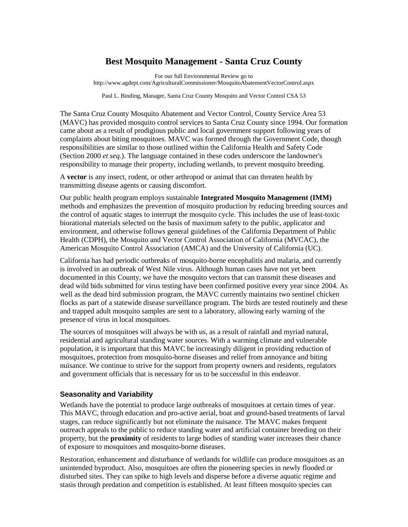# **Best Mosquito Management - Santa Cruz County**

For our full Environmental Review go to http://www.agdept.com/AgriculturalCommissioner/MosquitoAbatementVectorControl.aspx

Paul L. Binding, Manager, Santa Cruz County Mosquito and Vector Control CSA 53

The Santa Cruz County Mosquito Abatement and Vector Control, County Service Area 53 (MAVC) has provided mosquito control services to Santa Cruz County since 1994. Our formation came about as a result of prodigious public and local government support following years of complaints about biting mosquitoes. MAVC was formed through the Government Code, though responsibilities are similar to those outlined within the California Health and Safety Code (Section 2000 *et seq.*). The language contained in these codes underscore the landowner's responsibility to manage their property, including wetlands, to prevent mosquito breeding.

A **vector** is any insect, rodent, or other arthropod or animal that can threaten health by transmitting disease agents or causing discomfort.

Our public health program employs sustainable **Integrated Mosquito Management (IMM)** methods and emphasizes the prevention of mosquito production by reducing breeding sources and the control of aquatic stages to interrupt the mosquito cycle. This includes the use of least-toxic biorational materials selected on the basis of maximum safety to the public, applicator and environment, and otherwise follows general guidelines of the California Department of Public Health (CDPH), the Mosquito and Vector Control Association of California (MVCAC), the American Mosquito Control Association (AMCA) and the University of California (UC).

California has had periodic outbreaks of mosquito-borne encephalitis and malaria, and currently is involved in an outbreak of West Nile virus. Although human cases have not yet been documented in this County, we have the mosquito vectors that can transmit these diseases and dead wild bids submitted for virus testing have been confirmed positive every year since 2004. As well as the dead bird submission program, the MAVC currently maintains two sentinel chicken flocks as part of a statewide disease surveillance program. The birds are tested routinely and these and trapped adult mosquito samples are sent to a laboratory, allowing early warning of the presence of virus in local mosquitoes.

The sources of mosquitoes will always be with us, as a result of rainfall and myriad natural, residential and agricultural standing water sources. With a warming climate and vulnerable population, it is important that this MAVC be increasingly diligent in providing reduction of mosquitoes, protection from mosquito-borne diseases and relief from annoyance and biting nuisance. We continue to strive for the support from property owners and residents, regulators and government officials that is necessary for us to be successful in this endeavor.

## **Seasonality and Variability**

Wetlands have the potential to produce large outbreaks of mosquitoes at certain times of year. This MAVC, through education and pro-active aerial, boat and ground-based treatments of larval stages, can reduce significantly but not eliminate the nuisance. The MAVC makes frequent outreach appeals to the public to reduce standing water and artificial container breeding on their property, but the **proximity** of residents to large bodies of standing water increases their chance of exposure to mosquitoes and mosquito-borne diseases.

Restoration, enhancement and disturbance of wetlands for wildlife can produce mosquitoes as an unintended byproduct. Also, mosquitoes are often the pioneering species in newly flooded or disturbed sites. They can spike to high levels and disperse before a diverse aquatic regime and stasis through predation and competition is established. At least fifteen mosquito species can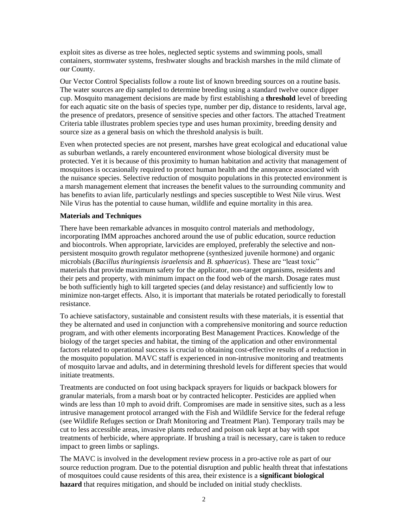exploit sites as diverse as tree holes, neglected septic systems and swimming pools, small containers, stormwater systems, freshwater sloughs and brackish marshes in the mild climate of our County.

Our Vector Control Specialists follow a route list of known breeding sources on a routine basis. The water sources are dip sampled to determine breeding using a standard twelve ounce dipper cup. Mosquito management decisions are made by first establishing a **threshold** level of breeding for each aquatic site on the basis of species type, number per dip, distance to residents, larval age, the presence of predators, presence of sensitive species and other factors. The attached Treatment Criteria table illustrates problem species type and uses human proximity, breeding density and source size as a general basis on which the threshold analysis is built.

Even when protected species are not present, marshes have great ecological and educational value as suburban wetlands, a rarely encountered environment whose biological diversity must be protected. Yet it is because of this proximity to human habitation and activity that management of mosquitoes is occasionally required to protect human health and the annoyance associated with the nuisance species. Selective reduction of mosquito populations in this protected environment is a marsh management element that increases the benefit values to the surrounding community and has benefits to avian life, particularly nestlings and species susceptible to West Nile virus. West Nile Virus has the potential to cause human, wildlife and equine mortality in this area.

## **Materials and Techniques**

There have been remarkable advances in mosquito control materials and methodology, incorporating IMM approaches anchored around the use of public education, source reduction and biocontrols. When appropriate, larvicides are employed, preferably the selective and nonpersistent mosquito growth regulator methoprene (synthesized juvenile hormone) and organic microbials (*Bacillus thuringiensis israelensis* and *B. sphaericus*). These are "least toxic" materials that provide maximum safety for the applicator, non-target organisms, residents and their pets and property, with minimum impact on the food web of the marsh. Dosage rates must be both sufficiently high to kill targeted species (and delay resistance) and sufficiently low to minimize non-target effects. Also, it is important that materials be rotated periodically to forestall resistance.

To achieve satisfactory, sustainable and consistent results with these materials, it is essential that they be alternated and used in conjunction with a comprehensive monitoring and source reduction program, and with other elements incorporating Best Management Practices. Knowledge of the biology of the target species and habitat, the timing of the application and other environmental factors related to operational success is crucial to obtaining cost-effective results of a reduction in the mosquito population. MAVC staff is experienced in non-intrusive monitoring and treatments of mosquito larvae and adults, and in determining threshold levels for different species that would initiate treatments.

Treatments are conducted on foot using backpack sprayers for liquids or backpack blowers for granular materials, from a marsh boat or by contracted helicopter. Pesticides are applied when winds are less than 10 mph to avoid drift. Compromises are made in sensitive sites, such as a less intrusive management protocol arranged with the Fish and Wildlife Service for the federal refuge (see Wildlife Refuges section or Draft Monitoring and Treatment Plan). Temporary trails may be cut to less accessible areas, invasive plants reduced and poison oak kept at bay with spot treatments of herbicide, where appropriate. If brushing a trail is necessary, care is taken to reduce impact to green limbs or saplings.

The MAVC is involved in the development review process in a pro-active role as part of our source reduction program. Due to the potential disruption and public health threat that infestations of mosquitoes could cause residents of this area, their existence is a **significant biological hazard** that requires mitigation, and should be included on initial study checklists.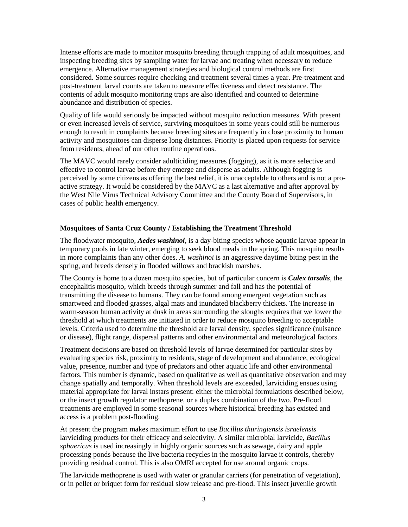Intense efforts are made to monitor mosquito breeding through trapping of adult mosquitoes, and inspecting breeding sites by sampling water for larvae and treating when necessary to reduce emergence. Alternative management strategies and biological control methods are first considered. Some sources require checking and treatment several times a year. Pre-treatment and post-treatment larval counts are taken to measure effectiveness and detect resistance. The contents of adult mosquito monitoring traps are also identified and counted to determine abundance and distribution of species.

Quality of life would seriously be impacted without mosquito reduction measures. With present or even increased levels of service, surviving mosquitoes in some years could still be numerous enough to result in complaints because breeding sites are frequently in close proximity to human activity and mosquitoes can disperse long distances. Priority is placed upon requests for service from residents, ahead of our other routine operations.

The MAVC would rarely consider adulticiding measures (fogging), as it is more selective and effective to control larvae before they emerge and disperse as adults. Although fogging is perceived by some citizens as offering the best relief, it is unacceptable to others and is not a proactive strategy. It would be considered by the MAVC as a last alternative and after approval by the West Nile Virus Technical Advisory Committee and the County Board of Supervisors, in cases of public health emergency.

## **Mosquitoes of Santa Cruz County / Establishing the Treatment Threshold**

The floodwater mosquito, *Aedes washinoi*, is a day-biting species whose aquatic larvae appear in temporary pools in late winter, emerging to seek blood meals in the spring. This mosquito results in more complaints than any other does. *A. washinoi* is an aggressive daytime biting pest in the spring, and breeds densely in flooded willows and brackish marshes.

The County is home to a dozen mosquito species, but of particular concern is *Culex tarsalis*, the encephalitis mosquito, which breeds through summer and fall and has the potential of transmitting the disease to humans. They can be found among emergent vegetation such as smartweed and flooded grasses, algal mats and inundated blackberry thickets. The increase in warm-season human activity at dusk in areas surrounding the sloughs requires that we lower the threshold at which treatments are initiated in order to reduce mosquito breeding to acceptable levels. Criteria used to determine the threshold are larval density, species significance (nuisance or disease), flight range, dispersal patterns and other environmental and meteorological factors.

Treatment decisions are based on threshold levels of larvae determined for particular sites by evaluating species risk, proximity to residents, stage of development and abundance, ecological value, presence, number and type of predators and other aquatic life and other environmental factors. This number is dynamic, based on qualitative as well as quantitative observation and may change spatially and temporally. When threshold levels are exceeded, larviciding ensues using material appropriate for larval instars present: either the microbial formulations described below, or the insect growth regulator methoprene, or a duplex combination of the two. Pre-flood treatments are employed in some seasonal sources where historical breeding has existed and access is a problem post-flooding.

At present the program makes maximum effort to use *Bacillus thuringiensis israelensis*  larviciding products for their efficacy and selectivity. A similar microbial larvicide, *Bacillus sphaericus* is used increasingly in highly organic sources such as sewage, dairy and apple processing ponds because the live bacteria recycles in the mosquito larvae it controls, thereby providing residual control. This is also OMRI accepted for use around organic crops.

The larvicide methoprene is used with water or granular carriers (for penetration of vegetation), or in pellet or briquet form for residual slow release and pre-flood. This insect juvenile growth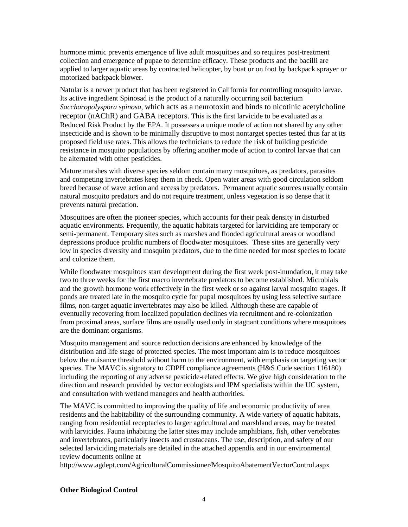hormone mimic prevents emergence of live adult mosquitoes and so requires post-treatment collection and emergence of pupae to determine efficacy. These products and the bacilli are applied to larger aquatic areas by contracted helicopter, by boat or on foot by backpack sprayer or motorized backpack blower.

Natular is a newer product that has been registered in California for controlling mosquito larvae. Its active ingredient Spinosad is the product of a naturally occurring soil bacterium *Saccharopolyspora spinosa*, which acts as a neurotoxin and binds to nicotinic acetylcholine receptor (nAChR) and GABA receptors. This is the first larvicide to be evaluated as a Reduced Risk Product by the EPA. It possesses a unique mode of action not shared by any other insecticide and is shown to be minimally disruptive to most nontarget species tested thus far at its proposed field use rates. This allows the technicians to reduce the risk of building pesticide resistance in mosquito populations by offering another mode of action to control larvae that can be alternated with other pesticides.

Mature marshes with diverse species seldom contain many mosquitoes, as predators, parasites and competing invertebrates keep them in check. Open water areas with good circulation seldom breed because of wave action and access by predators. Permanent aquatic sources usually contain natural mosquito predators and do not require treatment, unless vegetation is so dense that it prevents natural predation.

Mosquitoes are often the pioneer species, which accounts for their peak density in disturbed aquatic environments. Frequently, the aquatic habitats targeted for larviciding are temporary or semi-permanent. Temporary sites such as marshes and flooded agricultural areas or woodland depressions produce prolific numbers of floodwater mosquitoes. These sites are generally very low in species diversity and mosquito predators, due to the time needed for most species to locate and colonize them.

While floodwater mosquitoes start development during the first week post-inundation, it may take two to three weeks for the first macro invertebrate predators to become established. Microbials and the growth hormone work effectively in the first week or so against larval mosquito stages. If ponds are treated late in the mosquito cycle for pupal mosquitoes by using less selective surface films, non-target aquatic invertebrates may also be killed. Although these are capable of eventually recovering from localized population declines via recruitment and re-colonization from proximal areas, surface films are usually used only in stagnant conditions where mosquitoes are the dominant organisms.

Mosquito management and source reduction decisions are enhanced by knowledge of the distribution and life stage of protected species. The most important aim is to reduce mosquitoes below the nuisance threshold without harm to the environment, with emphasis on targeting vector species. The MAVC is signatory to CDPH compliance agreements (H&S Code section 116180) including the reporting of any adverse pesticide-related effects. We give high consideration to the direction and research provided by vector ecologists and IPM specialists within the UC system, and consultation with wetland managers and health authorities.

The MAVC is committed to improving the quality of life and economic productivity of area residents and the habitability of the surrounding community. A wide variety of aquatic habitats, ranging from residential receptacles to larger agricultural and marshland areas, may be treated with larvicides. Fauna inhabiting the latter sites may include amphibians, fish, other vertebrates and invertebrates, particularly insects and crustaceans. The use, description, and safety of our selected larviciding materials are detailed in the attached appendix and in our environmental review documents online at

http://www.agdept.com/AgriculturalCommissioner/MosquitoAbatementVectorControl.aspx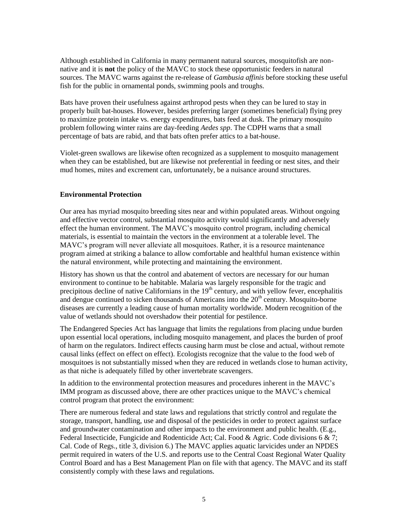Although established in California in many permanent natural sources, mosquitofish are nonnative and it is **not** the policy of the MAVC to stock these opportunistic feeders in natural sources. The MAVC warns against the re-release of *Gambusia affinis* before stocking these useful fish for the public in ornamental ponds, swimming pools and troughs.

Bats have proven their usefulness against arthropod pests when they can be lured to stay in properly built bat-houses. However, besides preferring larger (sometimes beneficial) flying prey to maximize protein intake vs. energy expenditures, bats feed at dusk. The primary mosquito problem following winter rains are day-feeding *Aedes spp*. The CDPH warns that a small percentage of bats are rabid, and that bats often prefer attics to a bat-house.

Violet-green swallows are likewise often recognized as a supplement to mosquito management when they can be established, but are likewise not preferential in feeding or nest sites, and their mud homes, mites and excrement can, unfortunately, be a nuisance around structures.

## **Environmental Protection**

Our area has myriad mosquito breeding sites near and within populated areas. Without ongoing and effective vector control, substantial mosquito activity would significantly and adversely effect the human environment. The MAVC's mosquito control program, including chemical materials, is essential to maintain the vectors in the environment at a tolerable level. The MAVC's program will never alleviate all mosquitoes. Rather, it is a resource maintenance program aimed at striking a balance to allow comfortable and healthful human existence within the natural environment, while protecting and maintaining the environment.

History has shown us that the control and abatement of vectors are necessary for our human environment to continue to be habitable. Malaria was largely responsible for the tragic and precipitous decline of native Californians in the  $19<sup>th</sup>$  century, and with yellow fever, encephalitis and dengue continued to sicken thousands of Americans into the  $20<sup>th</sup>$  century. Mosquito-borne diseases are currently a leading cause of human mortality worldwide. Modern recognition of the value of wetlands should not overshadow their potential for pestilence.

The Endangered Species Act has language that limits the regulations from placing undue burden upon essential local operations, including mosquito management, and places the burden of proof of harm on the regulators. Indirect effects causing harm must be close and actual, without remote causal links (effect on effect on effect). Ecologists recognize that the value to the food web of mosquitoes is not substantially missed when they are reduced in wetlands close to human activity, as that niche is adequately filled by other invertebrate scavengers.

In addition to the environmental protection measures and procedures inherent in the MAVC's IMM program as discussed above, there are other practices unique to the MAVC's chemical control program that protect the environment:

There are numerous federal and state laws and regulations that strictly control and regulate the storage, transport, handling, use and disposal of the pesticides in order to protect against surface and groundwater contamination and other impacts to the environment and public health. (E.g., Federal Insecticide, Fungicide and Rodenticide Act; Cal. Food & Agric. Code divisions 6 & 7; Cal. Code of Regs., title 3, division 6.) The MAVC applies aquatic larvicides under an NPDES permit required in waters of the U.S. and reports use to the Central Coast Regional Water Quality Control Board and has a Best Management Plan on file with that agency. The MAVC and its staff consistently comply with these laws and regulations.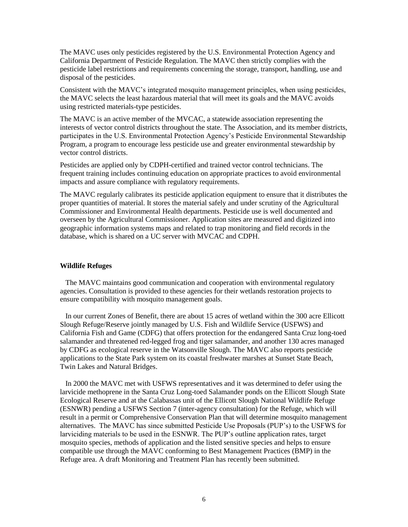The MAVC uses only pesticides registered by the U.S. Environmental Protection Agency and California Department of Pesticide Regulation. The MAVC then strictly complies with the pesticide label restrictions and requirements concerning the storage, transport, handling, use and disposal of the pesticides.

Consistent with the MAVC's integrated mosquito management principles, when using pesticides, the MAVC selects the least hazardous material that will meet its goals and the MAVC avoids using restricted materials-type pesticides.

The MAVC is an active member of the MVCAC, a statewide association representing the interests of vector control districts throughout the state. The Association, and its member districts, participates in the U.S. Environmental Protection Agency's Pesticide Environmental Stewardship Program, a program to encourage less pesticide use and greater environmental stewardship by vector control districts.

Pesticides are applied only by CDPH-certified and trained vector control technicians. The frequent training includes continuing education on appropriate practices to avoid environmental impacts and assure compliance with regulatory requirements.

The MAVC regularly calibrates its pesticide application equipment to ensure that it distributes the proper quantities of material. It stores the material safely and under scrutiny of the Agricultural Commissioner and Environmental Health departments. Pesticide use is well documented and overseen by the Agricultural Commissioner. Application sites are measured and digitized into geographic information systems maps and related to trap monitoring and field records in the database, which is shared on a UC server with MVCAC and CDPH.

#### **Wildlife Refuges**

 The MAVC maintains good communication and cooperation with environmental regulatory agencies. Consultation is provided to these agencies for their wetlands restoration projects to ensure compatibility with mosquito management goals.

 In our current Zones of Benefit, there are about 15 acres of wetland within the 300 acre Ellicott Slough Refuge/Reserve jointly managed by U.S. Fish and Wildlife Service (USFWS) and California Fish and Game (CDFG) that offers protection for the endangered Santa Cruz long-toed salamander and threatened red-legged frog and tiger salamander, and another 130 acres managed by CDFG as ecological reserve in the Watsonville Slough. The MAVC also reports pesticide applications to the State Park system on its coastal freshwater marshes at Sunset State Beach, Twin Lakes and Natural Bridges.

 In 2000 the MAVC met with USFWS representatives and it was determined to defer using the larvicide methoprene in the Santa Cruz Long-toed Salamander ponds on the Ellicott Slough State Ecological Reserve and at the Calabassas unit of the Ellicott Slough National Wildlife Refuge (ESNWR) pending a USFWS Section 7 (inter-agency consultation) for the Refuge, which will result in a permit or Comprehensive Conservation Plan that will determine mosquito management alternatives. The MAVC has since submitted Pesticide Use Proposals (PUP's) to the USFWS for larviciding materials to be used in the ESNWR. The PUP's outline application rates, target mosquito species, methods of application and the listed sensitive species and helps to ensure compatible use through the MAVC conforming to Best Management Practices (BMP) in the Refuge area. A draft Monitoring and Treatment Plan has recently been submitted.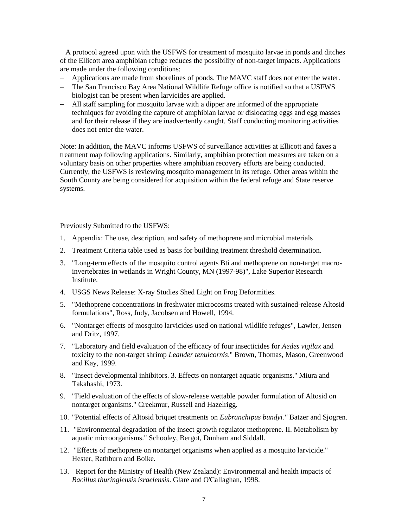A protocol agreed upon with the USFWS for treatment of mosquito larvae in ponds and ditches of the Ellicott area amphibian refuge reduces the possibility of non-target impacts. Applications are made under the following conditions:

- Applications are made from shorelines of ponds. The MAVC staff does not enter the water.
- The San Francisco Bay Area National Wildlife Refuge office is notified so that a USFWS biologist can be present when larvicides are applied.
- All staff sampling for mosquito larvae with a dipper are informed of the appropriate techniques for avoiding the capture of amphibian larvae or dislocating eggs and egg masses and for their release if they are inadvertently caught. Staff conducting monitoring activities does not enter the water.

Note: In addition, the MAVC informs USFWS of surveillance activities at Ellicott and faxes a treatment map following applications. Similarly, amphibian protection measures are taken on a voluntary basis on other properties where amphibian recovery efforts are being conducted. Currently, the USFWS is reviewing mosquito management in its refuge. Other areas within the South County are being considered for acquisition within the federal refuge and State reserve systems.

Previously Submitted to the USFWS:

- 1. Appendix: The use, description, and safety of methoprene and microbial materials
- 2. Treatment Criteria table used as basis for building treatment threshold determination.
- 3. "Long-term effects of the mosquito control agents Bti and methoprene on non-target macroinvertebrates in wetlands in Wright County, MN (1997-98)", Lake Superior Research Institute.
- 4. USGS News Release: X-ray Studies Shed Light on Frog Deformities.
- 5. "Methoprene concentrations in freshwater microcosms treated with sustained-release Altosid formulations", Ross, Judy, Jacobsen and Howell, 1994.
- 6. "Nontarget effects of mosquito larvicides used on national wildlife refuges", Lawler, Jensen and Dritz, 1997.
- 7. "Laboratory and field evaluation of the efficacy of four insecticides for *Aedes vigilax* and toxicity to the non-target shrimp *Leander tenuicornis*." Brown, Thomas, Mason, Greenwood and Kay, 1999.
- 8. "Insect developmental inhibitors. 3. Effects on nontarget aquatic organisms." Miura and Takahashi, 1973.
- 9. "Field evaluation of the effects of slow-release wettable powder formulation of Altosid on nontarget organisms." Creekmur, Russell and Hazelrigg.
- 10. "Potential effects of Altosid briquet treatments on *Eubranchipus bundyi."* Batzer and Sjogren.
- 11. "Environmental degradation of the insect growth regulator methoprene. II. Metabolism by aquatic microorganisms." Schooley, Bergot, Dunham and Siddall.
- 12. "Effects of methoprene on nontarget organisms when applied as a mosquito larvicide." Hester, Rathburn and Boike.
- 13. Report for the Ministry of Health (New Zealand): Environmental and health impacts of *Bacillus thuringiensis israelensis*. Glare and O'Callaghan, 1998.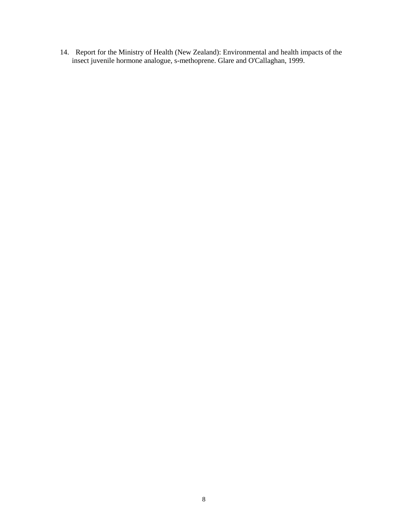14. Report for the Ministry of Health (New Zealand): Environmental and health impacts of the insect juvenile hormone analogue, s-methoprene. Glare and O'Callaghan, 1999.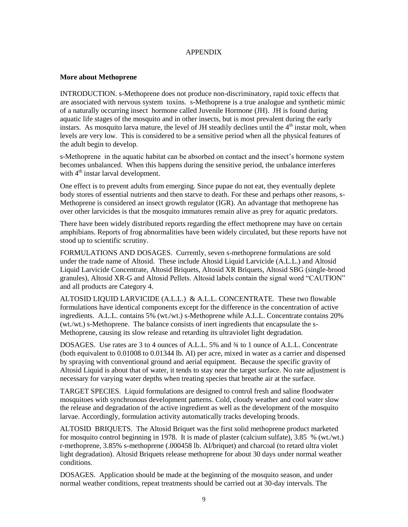#### APPENDIX

#### **More about Methoprene**

INTRODUCTION. s-Methoprene does not produce non-discriminatory, rapid toxic effects that are associated with nervous system toxins. s-Methoprene is a true analogue and synthetic mimic of a naturally occurring insect hormone called Juvenile Hormone (JH). JH is found during aquatic life stages of the mosquito and in other insects, but is most prevalent during the early instars. As mosquito larva mature, the level of JH steadily declines until the  $4<sup>th</sup>$  instar molt, when levels are very low. This is considered to be a sensitive period when all the physical features of the adult begin to develop.

s-Methoprene in the aquatic habitat can be absorbed on contact and the insect's hormone system becomes unbalanced. When this happens during the sensitive period, the unbalance interferes with  $4<sup>th</sup>$  instar larval development.

One effect is to prevent adults from emerging. Since pupae do not eat, they eventually deplete body stores of essential nutrients and then starve to death. For these and perhaps other reasons, s-Methoprene is considered an insect growth regulator (IGR). An advantage that methoprene has over other larvicides is that the mosquito immatures remain alive as prey for aquatic predators.

There have been widely distributed reports regarding the effect methoprene may have on certain amphibians. Reports of frog abnormalities have been widely circulated, but these reports have not stood up to scientific scrutiny.

FORMULATIONS AND DOSAGES. Currently, seven s-methoprene formulations are sold under the trade name of Altosid. These include Altosid Liquid Larvicide (A.L.L.) and Altosid Liquid Larvicide Concentrate, Altosid Briquets, Altosid XR Briquets, Altosid SBG (single-brood granules), Altosid XR-G and Altosid Pellets. Altosid labels contain the signal word "CAUTION" and all products are Category 4.

ALTOSID LIQUID LARVICIDE (A.L.L.) & A.L.L. CONCENTRATE. These two flowable formulations have identical components except for the difference in the concentration of active ingredients. A.L.L. contains 5% (wt./wt.) s-Methoprene while A.L.L. Concentrate contains 20% (wt./wt.) s-Methoprene. The balance consists of inert ingredients that encapsulate the s-Methoprene, causing its slow release and retarding its ultraviolet light degradation.

DOSAGES. Use rates are 3 to 4 ounces of A.L.L. 5% and ¾ to 1 ounce of A.L.L. Concentrate (both equivalent to 0.01008 to 0.01344 lb. AI) per acre, mixed in water as a carrier and dispensed by spraying with conventional ground and aerial equipment. Because the specific gravity of Altosid Liquid is about that of water, it tends to stay near the target surface. No rate adjustment is necessary for varying water depths when treating species that breathe air at the surface.

TARGET SPECIES. Liquid formulations are designed to control fresh and saline floodwater mosquitoes with synchronous development patterns. Cold, cloudy weather and cool water slow the release and degradation of the active ingredient as well as the development of the mosquito larvae. Accordingly, formulation activity automatically tracks developing broods.

ALTOSID BRIQUETS. The Altosid Briquet was the first solid methoprene product marketed for mosquito control beginning in 1978. It is made of plaster (calcium sulfate), 3.85 % (wt./wt.) r-methoprene, 3.85% s-methoprene (.000458 lb. AI/briquet) and charcoal (to retard ultra violet light degradation). Altosid Briquets release methoprene for about 30 days under normal weather conditions.

DOSAGES. Application should be made at the beginning of the mosquito season, and under normal weather conditions, repeat treatments should be carried out at 30-day intervals. The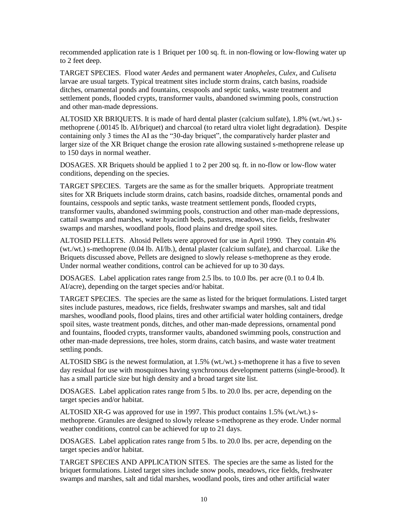recommended application rate is 1 Briquet per 100 sq. ft. in non-flowing or low-flowing water up to 2 feet deep.

TARGET SPECIES. Flood water *Aedes* and permanent water *Anopheles*, *Culex*, and *Culiseta* larvae are usual targets. Typical treatment sites include storm drains, catch basins, roadside ditches, ornamental ponds and fountains, cesspools and septic tanks, waste treatment and settlement ponds, flooded crypts, transformer vaults, abandoned swimming pools, construction and other man-made depressions.

ALTOSID XR BRIQUETS. It is made of hard dental plaster (calcium sulfate), 1.8% (wt./wt.) smethoprene (.00145 lb. AI/briquet) and charcoal (to retard ultra violet light degradation). Despite containing only 3 times the AI as the "30-day briquet", the comparatively harder plaster and larger size of the XR Briquet change the erosion rate allowing sustained s-methoprene release up to 150 days in normal weather.

DOSAGES. XR Briquets should be applied 1 to 2 per 200 sq. ft. in no-flow or low-flow water conditions, depending on the species.

TARGET SPECIES. Targets are the same as for the smaller briquets. Appropriate treatment sites for XR Briquets include storm drains, catch basins, roadside ditches, ornamental ponds and fountains, cesspools and septic tanks, waste treatment settlement ponds, flooded crypts, transformer vaults, abandoned swimming pools, construction and other man-made depressions, cattail swamps and marshes, water hyacinth beds, pastures, meadows, rice fields, freshwater swamps and marshes, woodland pools, flood plains and dredge spoil sites.

ALTOSID PELLETS. Altosid Pellets were approved for use in April 1990. They contain 4% (wt./wt.) s-methoprene (0.04 lb. AI/lb.), dental plaster (calcium sulfate), and charcoal. Like the Briquets discussed above, Pellets are designed to slowly release s-methoprene as they erode. Under normal weather conditions, control can be achieved for up to 30 days.

DOSAGES. Label application rates range from 2.5 lbs. to 10.0 lbs. per acre (0.1 to 0.4 lb. AI/acre), depending on the target species and/or habitat.

TARGET SPECIES. The species are the same as listed for the briquet formulations. Listed target sites include pastures, meadows, rice fields, freshwater swamps and marshes, salt and tidal marshes, woodland pools, flood plains, tires and other artificial water holding containers, dredge spoil sites, waste treatment ponds, ditches, and other man-made depressions, ornamental pond and fountains, flooded crypts, transformer vaults, abandoned swimming pools, construction and other man-made depressions, tree holes, storm drains, catch basins, and waste water treatment settling ponds.

ALTOSID SBG is the newest formulation, at 1.5% (wt./wt.) s-methoprene it has a five to seven day residual for use with mosquitoes having synchronous development patterns (single-brood). It has a small particle size but high density and a broad target site list.

DOSAGES. Label application rates range from 5 lbs. to 20.0 lbs. per acre, depending on the target species and/or habitat.

ALTOSID XR-G was approved for use in 1997. This product contains 1.5% (wt./wt.) smethoprene. Granules are designed to slowly release s-methoprene as they erode. Under normal weather conditions, control can be achieved for up to 21 days.

DOSAGES. Label application rates range from 5 lbs. to 20.0 lbs. per acre, depending on the target species and/or habitat.

TARGET SPECIES AND APPLICATION SITES. The species are the same as listed for the briquet formulations. Listed target sites include snow pools, meadows, rice fields, freshwater swamps and marshes, salt and tidal marshes, woodland pools, tires and other artificial water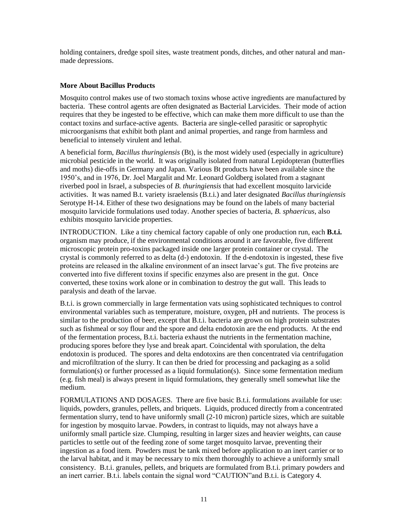holding containers, dredge spoil sites, waste treatment ponds, ditches, and other natural and manmade depressions.

## **More About Bacillus Products**

Mosquito control makes use of two stomach toxins whose active ingredients are manufactured by bacteria. These control agents are often designated as Bacterial Larvicides. Their mode of action requires that they be ingested to be effective, which can make them more difficult to use than the contact toxins and surface-active agents. Bacteria are single-celled parasitic or saprophytic microorganisms that exhibit both plant and animal properties, and range from harmless and beneficial to intensely virulent and lethal.

A beneficial form, *Bacillus thuringiensis* (Bt), is the most widely used (especially in agriculture) microbial pesticide in the world. It was originally isolated from natural Lepidopteran (butterflies and moths) die-offs in Germany and Japan. Various Bt products have been available since the 1950's, and in 1976, Dr. Joel Margalit and Mr. Leonard Goldberg isolated from a stagnant riverbed pool in Israel, a subspecies of *B. thuringiensis* that had excellent mosquito larvicide activities. It was named B.t. variety israelensis (B.t.i.) and later designated *Bacillus thuringiensis* Serotype H-14. Either of these two designations may be found on the labels of many bacterial mosquito larvicide formulations used today. Another species of bacteria, *B. sphaericus*, also exhibits mosquito larvicide properties.

INTRODUCTION. Like a tiny chemical factory capable of only one production run, each **B.t.i.** organism may produce, if the environmental conditions around it are favorable, five different microscopic protein pro-toxins packaged inside one larger protein container or crystal. The crystal is commonly referred to as delta (d-) endotoxin. If the d-endotoxin is ingested, these five proteins are released in the alkaline environment of an insect larvae's gut. The five proteins are converted into five different toxins if specific enzymes also are present in the gut. Once converted, these toxins work alone or in combination to destroy the gut wall. This leads to paralysis and death of the larvae.

B.t.i. is grown commercially in large fermentation vats using sophisticated techniques to control environmental variables such as temperature, moisture, oxygen, pH and nutrients. The process is similar to the production of beer, except that B.t.i. bacteria are grown on high protein substrates such as fishmeal or soy flour and the spore and delta endotoxin are the end products. At the end of the fermentation process, B.t.i. bacteria exhaust the nutrients in the fermentation machine, producing spores before they lyse and break apart. Coincidental with sporulation, the delta endotoxin is produced. The spores and delta endotoxins are then concentrated via centrifugation and microfiltration of the slurry. It can then be dried for processing and packaging as a solid formulation(s) or further processed as a liquid formulation(s). Since some fermentation medium (e.g. fish meal) is always present in liquid formulations, they generally smell somewhat like the medium.

FORMULATIONS AND DOSAGES. There are five basic B.t.i. formulations available for use: liquids, powders, granules, pellets, and briquets. Liquids, produced directly from a concentrated fermentation slurry, tend to have uniformly small (2-10 micron) particle sizes, which are suitable for ingestion by mosquito larvae. Powders, in contrast to liquids, may not always have a uniformly small particle size. Clumping, resulting in larger sizes and heavier weights, can cause particles to settle out of the feeding zone of some target mosquito larvae, preventing their ingestion as a food item. Powders must be tank mixed before application to an inert carrier or to the larval habitat, and it may be necessary to mix them thoroughly to achieve a uniformly small consistency. B.t.i. granules, pellets, and briquets are formulated from B.t.i. primary powders and an inert carrier. B.t.i. labels contain the signal word "CAUTION"and B.t.i. is Category 4.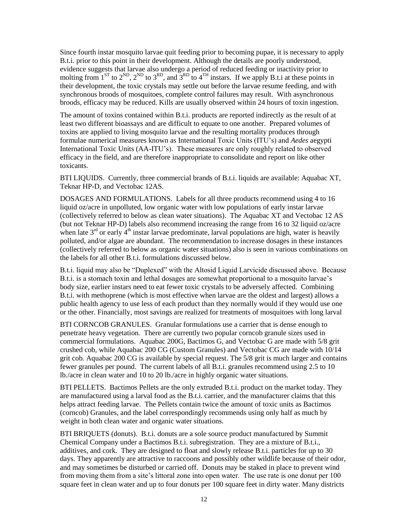Since fourth instar mosquito larvae quit feeding prior to becoming pupae, it is necessary to apply B.t.i. prior to this point in their development. Although the details are poorly understood, evidence suggests that larvae also undergo a period of reduced feeding or inactivity prior to molting from  $1^{ST}$  to  $2^{ND}$ ,  $2^{ND}$  to  $3^{RD}$ , and  $3^{RD}$  to  $4^{TH}$  instars. If we apply B.t.i at these points in their development, the toxic crystals may settle out before the larvae resume feeding, and with synchronous broods of mosquitoes, complete control failures may result. With asynchronous broods, efficacy may be reduced. Kills are usually observed within 24 hours of toxin ingestion.

The amount of toxins contained within B.t.i. products are reported indirectly as the result of at least two different bioassays and are difficult to equate to one another. Prepared volumes of toxins are applied to living mosquito larvae and the resulting mortality produces through formulae numerical measures known as International Toxic Units (ITU's) and *Aedes* aegypti International Toxic Units (AA-ITU's). These measures are only roughly related to observed efficacy in the field, and are therefore inappropriate to consolidate and report on like other toxicants.

BTI LIQUIDS. Currently, three commercial brands of B.t.i. liquids are available: Aquabac XT, Teknar HP-D, and Vectobac 12AS.

DOSAGES AND FORMULATIONS. Labels for all three products recommend using 4 to 16 liquid oz/acre in unpolluted, low organic water with low populations of early instar larvae (collectively referred to below as clean water situations). The Aquabac XT and Vectobac 12 AS (but not Teknar HP-D) labels also recommend increasing the range from 16 to 32 liquid oz/acre when late  $3<sup>rd</sup>$  or early  $4<sup>th</sup>$  instar larvae predominate, larval populations are high, water is heavily polluted, and/or algae are abundant. The recommendation to increase dosages in these instances (collectively referred to below as organic water situations) also is seen in various combinations on the labels for all other B.t.i. formulations discussed below.

B.t.i. liquid may also be "Duplexed" with the Altosid Liquid Larvicide discussed above. Because B.t.i. is a stomach toxin and lethal dosages are somewhat proportional to a mosquito larvae's body size, earlier instars need to eat fewer toxic crystals to be adversely affected. Combining B.t.i. with methoprene (which is most effective when larvae are the oldest and largest) allows a public health agency to use less of each product than they normally would if they would use one or the other. Financially, most savings are realized for treatments of mosquitoes with long larval

BTI CORNCOB GRANULES. Granular formulations use a carrier that is dense enough to penetrate heavy vegetation. There are currently two popular corncob granule sizes used in commercial formulations. Aquabac 200G, Bactimos G, and Vectobac G are made with 5/8 grit crushed cob, while Aquabac 200 CG (Custom Granules) and Vectobac CG are made with 10/14 grit cob. Aquabac 200 CG is available by special request. The 5/8 grit is much larger and contains fewer granules per pound. The current labels of all B.t.i. granules recommend using 2.5 to 10 lb./acre in clean water and 10 to 20 lb./acre in highly organic water situations.

BTI PELLETS. Bactimos Pellets are the only extruded B.t.i. product on the market today. They are manufactured using a larval food as the B.t.i. carrier, and the manufacturer claims that this helps attract feeding larvae. The Pellets contain twice the amount of toxic units as Bactimos (corncob) Granules, and the label correspondingly recommends using only half as much by weight in both clean water and organic water situations.

BTI BRIQUETS (donuts). B.t.i. donuts are a sole source product manufactured by Summit Chemical Company under a Bactimos B.t.i. subregistration. They are a mixture of B.t.i., additives, and cork. They are designed to float and slowly release B.t.i. particles for up to 30 days. They apparently are attractive to raccoons and possibly other wildlife because of their odor, and may sometimes be disturbed or carried off. Donuts may be staked in place to prevent wind from moving them from a site's littoral zone into open water. The use rate is one donut per 100 square feet in clean water and up to four donuts per 100 square feet in dirty water. Many districts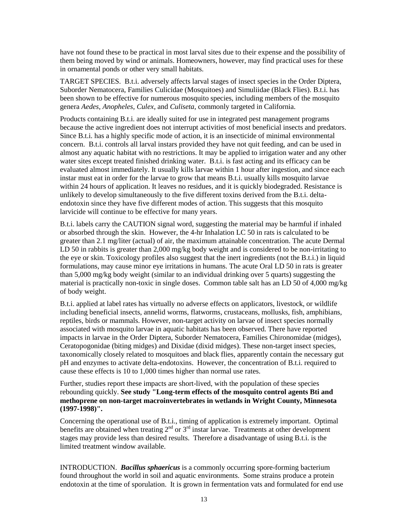have not found these to be practical in most larval sites due to their expense and the possibility of them being moved by wind or animals. Homeowners, however, may find practical uses for these in ornamental ponds or other very small habitats.

TARGET SPECIES. B.t.i. adversely affects larval stages of insect species in the Order Diptera, Suborder Nematocera, Families Culicidae (Mosquitoes) and Simuliidae (Black Flies). B.t.i. has been shown to be effective for numerous mosquito species, including members of the mosquito genera *Aedes*, *Anopheles*, *Culex*, and *Culiseta*, commonly targeted in California.

Products containing B.t.i. are ideally suited for use in integrated pest management programs because the active ingredient does not interrupt activities of most beneficial insects and predators. Since B.t.i. has a highly specific mode of action, it is an insecticide of minimal environmental concern. B.t.i. controls all larval instars provided they have not quit feeding, and can be used in almost any aquatic habitat with no restrictions. It may be applied to irrigation water and any other water sites except treated finished drinking water. B.t.i. is fast acting and its efficacy can be evaluated almost immediately. It usually kills larvae within 1 hour after ingestion, and since each instar must eat in order for the larvae to grow that means B.t.i. usually kills mosquito larvae within 24 hours of application. It leaves no residues, and it is quickly biodegraded. Resistance is unlikely to develop simultaneously to the five different toxins derived from the B.t.i. deltaendotoxin since they have five different modes of action. This suggests that this mosquito larvicide will continue to be effective for many years.

B.t.i. labels carry the CAUTION signal word, suggesting the material may be harmful if inhaled or absorbed through the skin. However, the 4-hr Inhalation LC 50 in rats is calculated to be greater than 2.1 mg/liter (actual) of air, the maximum attainable concentration. The acute Dermal LD 50 in rabbits is greater than 2,000 mg/kg body weight and is considered to be non-irritating to the eye or skin. Toxicology profiles also suggest that the inert ingredients (not the B.t.i.) in liquid formulations, may cause minor eye irritations in humans. The acute Oral LD 50 in rats is greater than 5,000 mg/kg body weight (similar to an individual drinking over 5 quarts) suggesting the material is practically non-toxic in single doses. Common table salt has an LD 50 of 4,000 mg/kg of body weight.

B.t.i. applied at label rates has virtually no adverse effects on applicators, livestock, or wildlife including beneficial insects, annelid worms, flatworms, crustaceans, mollusks, fish, amphibians, reptiles, birds or mammals. However, non-target activity on larvae of insect species normally associated with mosquito larvae in aquatic habitats has been observed. There have reported impacts in larvae in the Order Diptera, Suborder Nematocera, Families Chironomidae (midges), Ceratopogonidae (biting midges) and Dixidae (dixid midges). These non-target insect species, taxonomically closely related to mosquitoes and black flies, apparently contain the necessary gut pH and enzymes to activate delta-endotoxins. However, the concentration of B.t.i. required to cause these effects is 10 to 1,000 times higher than normal use rates.

Further, studies report these impacts are short-lived, with the population of these species rebounding quickly. **See study "Long-term effects of the mosquito control agents Bti and methoprene on non-target macroinvertebrates in wetlands in Wright County, Minnesota (1997-1998)".**

Concerning the operational use of B.t.i., timing of application is extremely important. Optimal benefits are obtained when treating  $2<sup>nd</sup>$  or  $3<sup>rd</sup>$  instar larvae. Treatments at other development stages may provide less than desired results. Therefore a disadvantage of using B.t.i. is the limited treatment window available.

INTRODUCTION. *Bacillus sphaericus* is a commonly occurring spore-forming bacterium found throughout the world in soil and aquatic environments. Some strains produce a protein endotoxin at the time of sporulation. It is grown in fermentation vats and formulated for end use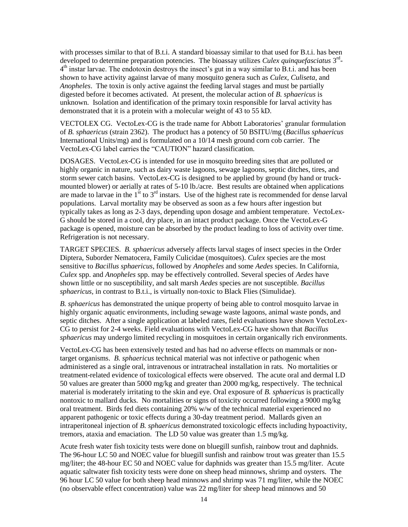with processes similar to that of B.t.i. A standard bioassay similar to that used for B.t.i. has been developed to determine preparation potencies. The bioassay utilizes *Culex quinquefasciatus* 3<sup>rd</sup>-4<sup>th</sup> instar larvae. The endotoxin destroys the insect's gut in a way similar to B.t.i. and has been shown to have activity against larvae of many mosquito genera such as *Culex, Culiseta*, and *Anopheles*. The toxin is only active against the feeding larval stages and must be partially digested before it becomes activated. At present, the molecular action of *B. sphaericus* is unknown. Isolation and identification of the primary toxin responsible for larval activity has demonstrated that it is a protein with a molecular weight of 43 to 55 kD.

VECTOLEX CG. VectoLex-CG is the trade name for Abbott Laboratories' granular formulation of *B. sphaericus* (strain 2362). The product has a potency of 50 BSITU/mg (*Bacillus sphaericus* International Units/mg) and is formulated on a 10/14 mesh ground corn cob carrier. The VectoLex-CG label carries the "CAUTION" hazard classification.

DOSAGES. VectoLex-CG is intended for use in mosquito breeding sites that are polluted or highly organic in nature, such as dairy waste lagoons, sewage lagoons, septic ditches, tires, and storm sewer catch basins. VectoLex-CG is designed to be applied by ground (by hand or truckmounted blower) or aerially at rates of 5-10 lb./acre. Best results are obtained when applications are made to larvae in the  $1<sup>st</sup>$  to  $3<sup>rd</sup>$  instars. Use of the highest rate is recommended for dense larval populations. Larval mortality may be observed as soon as a few hours after ingestion but typically takes as long as 2-3 days, depending upon dosage and ambient temperature. VectoLex-G should be stored in a cool, dry place, in an intact product package. Once the VectoLex-G package is opened, moisture can be absorbed by the product leading to loss of activity over time. Refrigeration is not necessary.

TARGET SPECIES. *B. sphaericus* adversely affects larval stages of insect species in the Order Diptera, Suborder Nematocera, Family Culicidae (mosquitoes). *Culex* species are the most sensitive to *Bacillus sphaericus*, followed by *Anopheles* and some *Aedes* species. In California, *Culex* spp. and *Anopheles* spp. may be effectively controlled. Several species of *Aedes* have shown little or no susceptibility, and salt marsh *Aedes* species are not susceptible*. Bacillus sphaericus,* in contrast to B.t.i., is virtually non-toxic to Black Flies (Simulidae).

*B. sphaericus* has demonstrated the unique property of being able to control mosquito larvae in highly organic aquatic environments, including sewage waste lagoons, animal waste ponds, and septic ditches. After a single application at labeled rates, field evaluations have shown VectoLex-CG to persist for 2-4 weeks. Field evaluations with VectoLex-CG have shown that *Bacillus sphaericus* may undergo limited recycling in mosquitoes in certain organically rich environments.

VectoLex-CG has been extensively tested and has had no adverse effects on mammals or nontarget organisms. *B. sphaericus* technical material was not infective or pathogenic when administered as a single oral, intravenous or intratracheal installation in rats. No mortalities or treatment-related evidence of toxicological effects were observed. The acute oral and dermal LD 50 values are greater than 5000 mg/kg and greater than 2000 mg/kg, respectively. The technical material is moderately irritating to the skin and eye. Oral exposure of *B. sphaericus* is practically nontoxic to mallard ducks. No mortalities or signs of toxicity occurred following a 9000 mg/kg oral treatment. Birds fed diets containing 20% w/w of the technical material experienced no apparent pathogenic or toxic effects during a 30-day treatment period. Mallards given an intraperitoneal injection of *B. sphaericus* demonstrated toxicologic effects including hypoactivity, tremors, ataxia and emaciation. The LD 50 value was greater than 1.5 mg/kg.

Acute fresh water fish toxicity tests were done on bluegill sunfish, rainbow trout and daphnids. The 96-hour LC 50 and NOEC value for bluegill sunfish and rainbow trout was greater than 15.5 mg/liter; the 48-hour EC 50 and NOEC value for daphnids was greater than 15.5 mg/liter. Acute aquatic saltwater fish toxicity tests were done on sheep head minnows, shrimp and oysters. The 96 hour LC 50 value for both sheep head minnows and shrimp was 71 mg/liter, while the NOEC (no observable effect concentration) value was 22 mg/liter for sheep head minnows and 50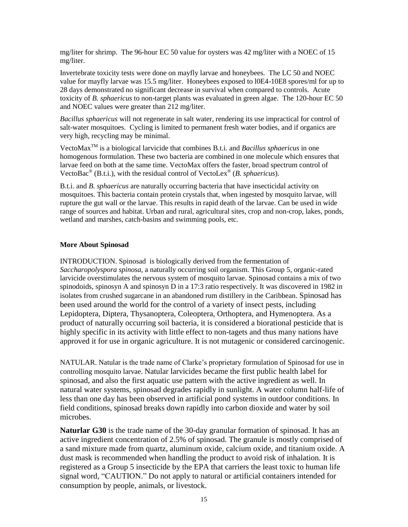mg/liter for shrimp. The 96-hour EC 50 value for oysters was 42 mg/liter with a NOEC of 15 mg/liter.

Invertebrate toxicity tests were done on mayfly larvae and honeybees. The LC 50 and NOEC value for mayfly larvae was 15.5 mg/liter. Honeybees exposed to l0E4-10E8 spores/ml for up to 28 days demonstrated no significant decrease in survival when compared to controls. Acute toxicity of *B. sphaericus* to non-target plants was evaluated in green algae. The 120-hour EC 50 and NOEC values were greater than 212 mg/liter.

*Bacillus sphaericus* will not regenerate in salt water, rendering its use impractical for control of salt-water mosquitoes. Cycling is limited to permanent fresh water bodies, and if organics are very high, recycling may be minimal.

VectoMaxTM is a biological larvicide that combines B.t.i. and *Bacillus sphaericus* in one homogenous formulation. These two bacteria are combined in one molecule which ensures that larvae feed on both at the same time. VectoMax offers the faster, broad spectrum control of VectoBac® (B.t.i.), with the residual control of VectoLex® (*B. sphaericus*).

B.t.i. and *B. sphaericus* are naturally occurring bacteria that have insecticidal activity on mosquitoes. This bacteria contain protein crystals that, when ingested by mosquito larvae, will rupture the gut wall or the larvae. This results in rapid death of the larvae. Can be used in wide range of sources and habitat. Urban and rural, agricultural sites, crop and non-crop, lakes, ponds, wetland and marshes, catch-basins and swimming pools, etc.

## **More About Spinosad**

INTRODUCTION. Spinosad is biologically derived from the fermentation of *Saccharopolyspora spinosa*, a naturally occurring soil organism. This Group 5, organic-rated larvicide overstimulates the nervous system of mosquito larvae*.* Spinosad contains a mix of two spinodoids, spinosyn A and spinosyn D in a 17:3 ratio respectively. It was discovered in 1982 in isolates from crushed sugarcane in an abandoned rum distillery in the Caribbean. Spinosad has been used around the world for the control of a variety of insect pests, including [Lepidoptera,](https://en.wikipedia.org/wiki/Lepidoptera) [Diptera,](https://en.wikipedia.org/wiki/Diptera) [Thysanoptera,](https://en.wikipedia.org/wiki/Thysanoptera) [Coleoptera,](https://en.wikipedia.org/wiki/Coleoptera) [Orthoptera,](https://en.wikipedia.org/wiki/Orthoptera) and [Hymenoptera.](https://en.wikipedia.org/wiki/Hymenoptera) As a product of naturally occurring soil bacteria, it is considered a biorational pesticide that is highly specific in its activity with little effect to non-tagets and thus many nations have approved it for use in organic agriculture. It is not mutagenic or considered carcinogenic.

NATULAR. Natular is the trade name of Clarke's proprietary formulation of Spinosad for use in controlling mosquito larvae. Natular larvicides became the first public health label for spinosad, and also the first aquatic use pattern with the active ingredient as well. In natural water systems, spinosad degrades rapidly in sunlight. A water column half-life of less than one day has been observed in artificial pond systems in outdoor conditions. In field conditions, spinosad breaks down rapidly into carbon dioxide and water by soil microbes.

**Naturlar G30** is the trade name of the 30-day granular formation of spinosad. It has an active ingredient concentration of 2.5% of spinosad. The granule is mostly comprised of a sand mixture made from quartz, aluminum oxide, calcium oxide, and titanium oxide. A dust mask is recommended when handling the product to avoid risk of inhalation. It is registered as a Group 5 insecticide by the EPA that carriers the least toxic to human life signal word, "CAUTION." Do not apply to natural or artificial containers intended for consumption by people, animals, or livestock.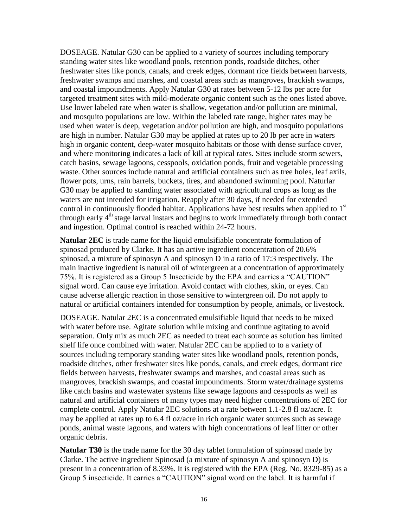DOSEAGE. Natular G30 can be applied to a variety of sources including temporary standing water sites like woodland pools, retention ponds, roadside ditches, other freshwater sites like ponds, canals, and creek edges, dormant rice fields between harvests, freshwater swamps and marshes, and coastal areas such as mangroves, brackish swamps, and coastal impoundments. Apply Natular G30 at rates between 5-12 lbs per acre for targeted treatment sites with mild-moderate organic content such as the ones listed above. Use lower labeled rate when water is shallow, vegetation and/or pollution are minimal, and mosquito populations are low. Within the labeled rate range, higher rates may be used when water is deep, vegetation and/or pollution are high, and mosquito populations are high in number. Natular G30 may be applied at rates up to 20 lb per acre in waters high in organic content, deep-water mosquito habitats or those with dense surface cover, and where monitoring indicates a lack of kill at typical rates. Sites include storm sewers, catch basins, sewage lagoons, cesspools, oxidation ponds, fruit and vegetable processing waste. Other sources include natural and artificial containers such as tree holes, leaf axils, flower pots, urns, rain barrels, buckets, tires, and abandoned swimming pool. Naturlar G30 may be applied to standing water associated with agricultural crops as long as the waters are not intended for irrigation. Reapply after 30 days, if needed for extended control in continuously flooded habitat. Applications have best results when applied to  $1<sup>st</sup>$ through early 4<sup>th</sup> stage larval instars and begins to work immediately through both contact and ingestion. Optimal control is reached within 24-72 hours.

**Natular 2EC** is trade name for the liquid emulsifiable concentrate formulation of spinosad produced by Clarke. It has an active ingredient concentration of 20.6% spinosad, a mixture of spinosyn A and spinosyn D in a ratio of 17:3 respectively. The main inactive ingredient is natural oil of wintergreen at a concentration of approximately 75%. It is registered as a Group 5 Insecticide by the EPA and carries a "CAUTION" signal word. Can cause eye irritation. Avoid contact with clothes, skin, or eyes. Can cause adverse allergic reaction in those sensitive to wintergreen oil. Do not apply to natural or artificial containers intended for consumption by people, animals, or livestock.

DOSEAGE. Natular 2EC is a concentrated emulsifiable liquid that needs to be mixed with water before use. Agitate solution while mixing and continue agitating to avoid separation. Only mix as much 2EC as needed to treat each source as solution has limited shelf life once combined with water. Natular 2EC can be applied to to a variety of sources including temporary standing water sites like woodland pools, retention ponds, roadside ditches, other freshwater sites like ponds, canals, and creek edges, dormant rice fields between harvests, freshwater swamps and marshes, and coastal areas such as mangroves, brackish swamps, and coastal impoundments. Storm water/drainage systems like catch basins and wastewater systems like sewage lagoons and cesspools as well as natural and artificial containers of many types may need higher concentrations of 2EC for complete control. Apply Natular 2EC solutions at a rate between 1.1-2.8 fl oz/acre. It may be applied at rates up to 6.4 fl oz/acre in rich organic water sources such as sewage ponds, animal waste lagoons, and waters with high concentrations of leaf litter or other organic debris.

**Natular T30** is the trade name for the 30 day tablet formulation of spinosad made by Clarke. The active ingredient Spinosad (a mixture of spinosyn A and spinosyn D) is present in a concentration of 8.33%. It is registered with the EPA (Reg. No. 8329-85) as a Group 5 insecticide. It carries a "CAUTION" signal word on the label. It is harmful if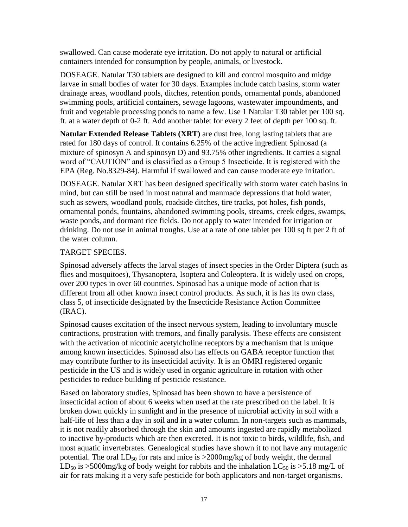swallowed. Can cause moderate eye irritation. Do not apply to natural or artificial containers intended for consumption by people, animals, or livestock.

DOSEAGE. Natular T30 tablets are designed to kill and control mosquito and midge larvae in small bodies of water for 30 days. Examples include catch basins, storm water drainage areas, woodland pools, ditches, retention ponds, ornamental ponds, abandoned swimming pools, artificial containers, sewage lagoons, wastewater impoundments, and fruit and vegetable processing ponds to name a few. Use 1 Natular T30 tablet per 100 sq. ft. at a water depth of 0-2 ft. Add another tablet for every 2 feet of depth per 100 sq. ft.

**Natular Extended Release Tablets (XRT)** are dust free, long lasting tablets that are rated for 180 days of control. It contains 6.25% of the active ingredient Spinosad (a mixture of spinosyn A and spinosyn D) and 93.75% other ingredients. It carries a signal word of "CAUTION" and is classified as a Group 5 Insecticide. It is registered with the EPA (Reg. No.8329-84). Harmful if swallowed and can cause moderate eye irritation.

DOSEAGE. Natular XRT has been designed specifically with storm water catch basins in mind, but can still be used in most natural and manmade depressions that hold water, such as sewers, woodland pools, roadside ditches, tire tracks, pot holes, fish ponds, ornamental ponds, fountains, abandoned swimming pools, streams, creek edges, swamps, waste ponds, and dormant rice fields. Do not apply to water intended for irrigation or drinking. Do not use in animal troughs. Use at a rate of one tablet per 100 sq ft per 2 ft of the water column.

## TARGET SPECIES.

Spinosad adversely affects the larval stages of insect species in the Order Diptera (such as flies and mosquitoes), Thysanoptera, Isoptera and Coleoptera. It is widely used on crops, over 200 types in over 60 countries. Spinosad has a unique mode of action that is different from all other known insect control products. As such, it is has its own class, class 5, of insecticide designated by the Insecticide Resistance Action Committee (IRAC).

Spinosad causes excitation of the insect nervous system, leading to involuntary muscle contractions, prostration with tremors, and finally paralysis. These effects are consistent with the activation of nicotinic acetylcholine receptors by a mechanism that is unique among known insecticides. Spinosad also has effects on GABA receptor function that may contribute further to its insecticidal activity. It is an OMRI registered organic pesticide in the US and is widely used in organic agriculture in rotation with other pesticides to reduce building of pesticide resistance.

Based on laboratory studies, Spinosad has been shown to have a persistence of insecticidal action of about 6 weeks when used at the rate prescribed on the label. It is broken down quickly in sunlight and in the presence of microbial activity in soil with a half-life of less than a day in soil and in a water column. In non-targets such as mammals, it is not readily absorbed through the skin and amounts ingested are rapidly metabolized to inactive by-products which are then excreted. It is not toxic to birds, wildlife, fish, and most aquatic invertebrates. Genealogical studies have shown it to not have any mutagenic potential. The oral  $LD_{50}$  for rats and mice is  $>2000$  mg/kg of body weight, the dermal LD<sub>50</sub> is >5000mg/kg of body weight for rabbits and the inhalation LC<sub>50</sub> is >5.18 mg/L of air for rats making it a very safe pesticide for both applicators and non-target organisms.